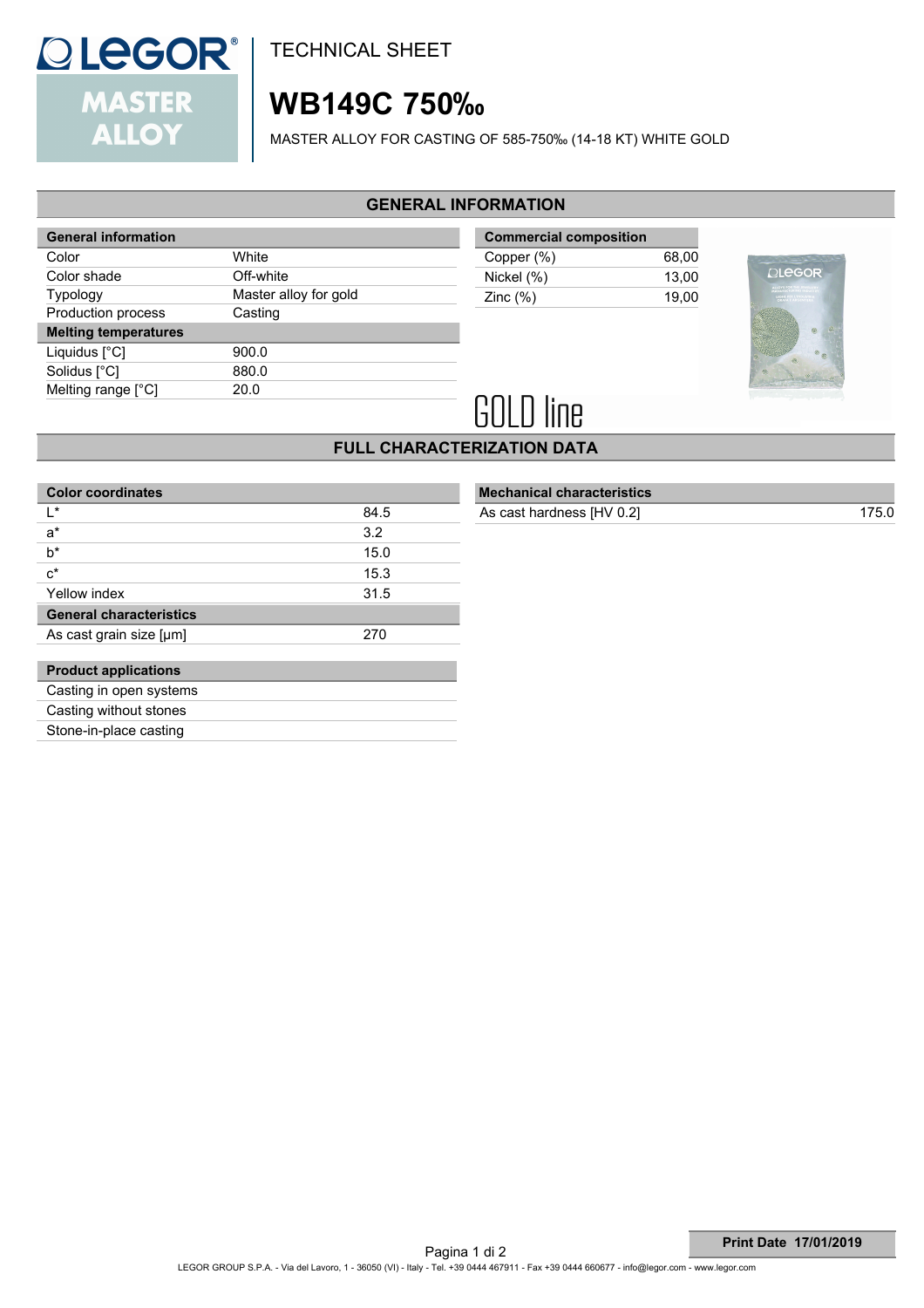

# **WB149C 750‰**

MASTER ALLOY FOR CASTING OF 585-750‰ (14-18 KT) WHITE GOLD

#### **GENERAL INFORMATION**

| <b>General information</b>  |                       |
|-----------------------------|-----------------------|
| Color                       | White                 |
| Color shade                 | Off-white             |
| <b>Typology</b>             | Master alloy for gold |
| Production process          | Casting               |
|                             |                       |
| <b>Melting temperatures</b> |                       |
| Liquidus [°C]               | 900.0                 |
| Solidus [°C]                | 880.0                 |
| Melting range [°C]          | 20.0                  |

| <b>Commercial composition</b> |       |  |
|-------------------------------|-------|--|
| Copper (%)                    | 68.00 |  |
| Nickel (%)                    | 13.00 |  |
| Zinc $(\%)$                   | 19.00 |  |



# **GOLD line**

## **FULL CHARACTERIZATION DATA**

| <b>Color coordinates</b>       |      |
|--------------------------------|------|
| l *                            | 84.5 |
| $a^*$                          | 3.2  |
| h*                             | 15.0 |
| $c^*$                          | 15.3 |
| Yellow index                   | 31.5 |
| <b>General characteristics</b> |      |
| As cast grain size [µm]        | 270  |
|                                |      |
| <b>Product applications</b>    |      |
| Casting in open systems        |      |
| Casting without stones         |      |
| Stone-in-place casting         |      |
|                                |      |

|  | <b>Mechanical characteristics</b> |  |
|--|-----------------------------------|--|
|  | __________                        |  |

As cast hardness [HV 0.2] 175.0